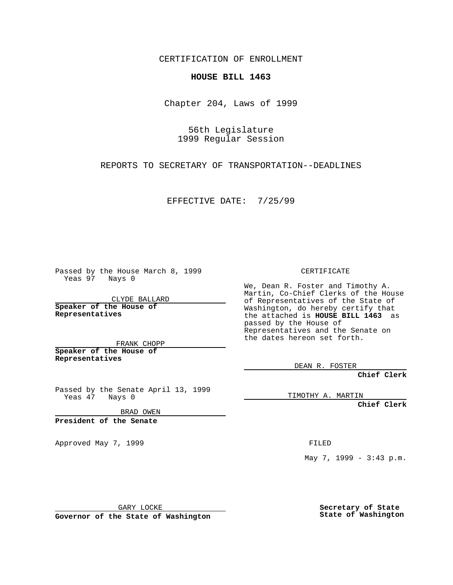CERTIFICATION OF ENROLLMENT

## **HOUSE BILL 1463**

Chapter 204, Laws of 1999

56th Legislature 1999 Regular Session

REPORTS TO SECRETARY OF TRANSPORTATION--DEADLINES

EFFECTIVE DATE: 7/25/99

Passed by the House March 8, 1999 Yeas 97 Nays 0

CLYDE BALLARD **Speaker of the House of Representatives**

FRANK CHOPP **Speaker of the House of Representatives**

Passed by the Senate April 13, 1999 Yeas 47 Nays 0

BRAD OWEN

**President of the Senate**

Approved May 7, 1999 **FILED** 

CERTIFICATE

We, Dean R. Foster and Timothy A. Martin, Co-Chief Clerks of the House of Representatives of the State of Washington, do hereby certify that the attached is **HOUSE BILL 1463** as passed by the House of Representatives and the Senate on the dates hereon set forth.

DEAN R. FOSTER

**Chief Clerk**

TIMOTHY A. MARTIN

**Chief Clerk**

May 7, 1999 - 3:43 p.m.

GARY LOCKE

**Governor of the State of Washington**

**Secretary of State State of Washington**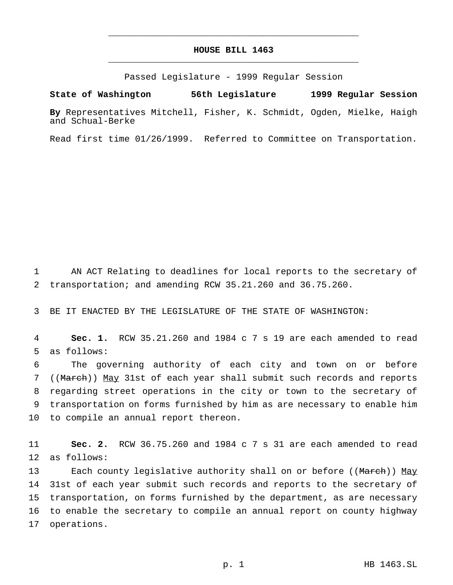## **HOUSE BILL 1463** \_\_\_\_\_\_\_\_\_\_\_\_\_\_\_\_\_\_\_\_\_\_\_\_\_\_\_\_\_\_\_\_\_\_\_\_\_\_\_\_\_\_\_\_\_\_\_

\_\_\_\_\_\_\_\_\_\_\_\_\_\_\_\_\_\_\_\_\_\_\_\_\_\_\_\_\_\_\_\_\_\_\_\_\_\_\_\_\_\_\_\_\_\_\_

Passed Legislature - 1999 Regular Session

**State of Washington 56th Legislature 1999 Regular Session**

**By** Representatives Mitchell, Fisher, K. Schmidt, Ogden, Mielke, Haigh and Schual-Berke

Read first time 01/26/1999. Referred to Committee on Transportation.

 AN ACT Relating to deadlines for local reports to the secretary of transportation; and amending RCW 35.21.260 and 36.75.260.

BE IT ENACTED BY THE LEGISLATURE OF THE STATE OF WASHINGTON:

 **Sec. 1.** RCW 35.21.260 and 1984 c 7 s 19 are each amended to read as follows:

 The governing authority of each city and town on or before ((March)) May 31st of each year shall submit such records and reports regarding street operations in the city or town to the secretary of transportation on forms furnished by him as are necessary to enable him to compile an annual report thereon.

 **Sec. 2.** RCW 36.75.260 and 1984 c 7 s 31 are each amended to read as follows:

13 Each county legislative authority shall on or before ((March)) May 31st of each year submit such records and reports to the secretary of transportation, on forms furnished by the department, as are necessary to enable the secretary to compile an annual report on county highway operations.